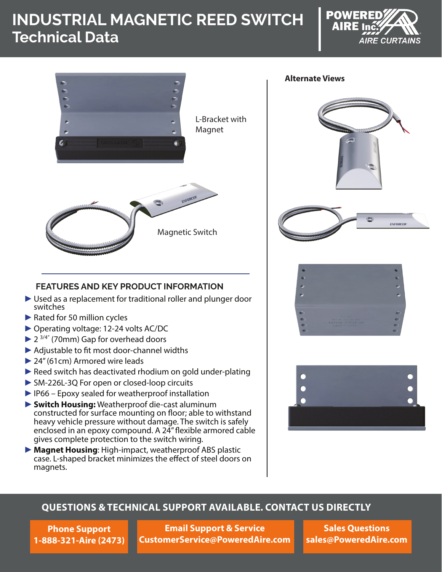# **INDUSTRIAL MAGNETIC REED SWITCH Technical Data**





#### **Alternate Views**





## **FEATURES AND KEY PRODUCT INFORMATION**

- ► Used as a replacement for traditional roller and plunger door switches
- ▶ Rated for 50 million cycles
- ►Operating voltage: 12-24 volts AC/DC
- $\blacktriangleright$  2<sup>3/4"</sup> (70mm) Gap for overhead doors
- ►Adjustable to fit most door-channel widths
- ►24" (61cm) Armored wire leads
- ► Reed switch has deactivated rhodium on gold under-plating
- ►SM-226L-3Q For open or closed-loop circuits
- ►IP66 Epoxy sealed for weatherproof installation
- ►**Switch Housing:** Weatherproof die-cast aluminum constructed for surface mounting on floor; able to withstand heavy vehicle pressure without damage. The switch is safely enclosed in an epoxy compound. A 24" flexible armored cable gives complete protection to the switch wiring.
- ►**Magnet Housing**: High-impact, weatherproof ABS plastic case. L-shaped bracket minimizes the effect of steel doors on magnets.





#### **QUESTIONS & TECHNICAL SUPPORT AVAILABLE. CONTACT US DIRECTLY**

**Phone Support 1-888-321-Aire (2473)**

**Email Support & Service CustomerService@PoweredAire.com**

**Sales Questions sales@PoweredAire.com**